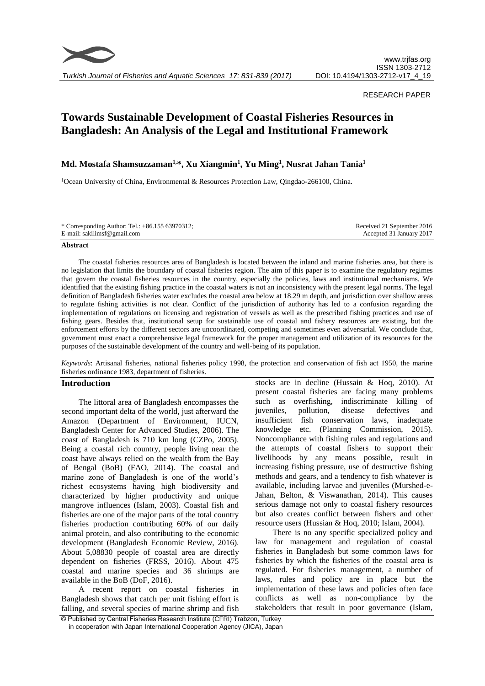

*Turkish Journal of Fisheries and Aquatic Sciences 17: 831-839 (2017)*

# RESEARCH PAPER

# **Towards Sustainable Development of Coastal Fisheries Resources in Bangladesh: An Analysis of the Legal and Institutional Framework**

# **Md. Mostafa Shamsuzzaman1,\*, Xu Xiangmin<sup>1</sup> , Yu Ming<sup>1</sup> , Nusrat Jahan Tania<sup>1</sup>**

<sup>1</sup>Ocean University of China, Environmental & Resources Protection Law, Qingdao-266100, China.

| * Corresponding Author: Tel.: $+86.15563970312$ ; | Received 21 September 2016 |
|---------------------------------------------------|----------------------------|
| E-mail: sakilimsf@gmail.com                       | Accepted 31 January 2017   |

# **Abstract**

The coastal fisheries resources area of Bangladesh is located between the inland and marine fisheries area, but there is no legislation that limits the boundary of coastal fisheries region. The aim of this paper is to examine the regulatory regimes that govern the coastal fisheries resources in the country, especially the policies, laws and institutional mechanisms. We identified that the existing fishing practice in the coastal waters is not an inconsistency with the present legal norms. The legal definition of Bangladesh fisheries water excludes the coastal area below at 18.29 m depth, and jurisdiction over shallow areas to regulate fishing activities is not clear. Conflict of the jurisdiction of authority has led to a confusion regarding the implementation of regulations on licensing and registration of vessels as well as the prescribed fishing practices and use of fishing gears. Besides that, institutional setup for sustainable use of coastal and fishery resources are existing, but the enforcement efforts by the different sectors are uncoordinated, competing and sometimes even adversarial. We conclude that, government must enact a comprehensive legal framework for the proper management and utilization of its resources for the purposes of the sustainable development of the country and well-being of its population.

*Keywords*: Artisanal fisheries, national fisheries policy 1998, the protection and conservation of fish act 1950, the marine fisheries ordinance 1983, department of fisheries.

#### **Introduction**

The littoral area of Bangladesh encompasses the second important delta of the world, just afterward the Amazon (Department of Environment, IUCN, Bangladesh Center for Advanced Studies, 2006). The coast of Bangladesh is 710 km long (CZPo, 2005). Being a coastal rich country, people living near the coast have always relied on the wealth from the Bay of Bengal (BoB) (FAO, 2014). The coastal and marine zone of Bangladesh is one of the world's richest ecosystems having high biodiversity and characterized by higher productivity and unique mangrove influences (Islam, 2003). Coastal fish and fisheries are one of the major parts of the total country fisheries production contributing 60% of our daily animal protein, and also contributing to the economic development (Bangladesh Economic Review, 2016). About 5,08830 people of coastal area are directly dependent on fisheries (FRSS, 2016). About 475 coastal and marine species and 36 shrimps are available in the BoB (DoF, 2016).

A recent report on coastal fisheries in Bangladesh shows that catch per unit fishing effort is falling, and several species of marine shrimp and fish

stocks are in decline (Hussain & Hoq, 2010). At present coastal fisheries are facing many problems such as overfishing, indiscriminate killing of juveniles, pollution, disease defectives and insufficient fish conservation laws, inadequate knowledge etc. (Planning Commission, 2015). Noncompliance with fishing rules and regulations and the attempts of coastal fishers to support their livelihoods by any means possible, result in increasing fishing pressure, use of destructive fishing methods and gears, and a tendency to fish whatever is available, including larvae and juveniles (Murshed-e-Jahan, Belton, & Viswanathan, 2014). This causes serious damage not only to coastal fishery resources but also creates conflict between fishers and other resource users (Hussian & Hoq, 2010; Islam, 2004).

There is no any specific specialized policy and law for management and regulation of coastal fisheries in Bangladesh but some common laws for fisheries by which the fisheries of the coastal area is regulated. For fisheries management, a number of laws, rules and policy are in place but the implementation of these laws and policies often face conflicts as well as non-compliance by the stakeholders that result in poor governance (Islam,

© Published by Central Fisheries Research Institute (CFRI) Trabzon, Turkey in cooperation with Japan International Cooperation Agency (JICA), Japan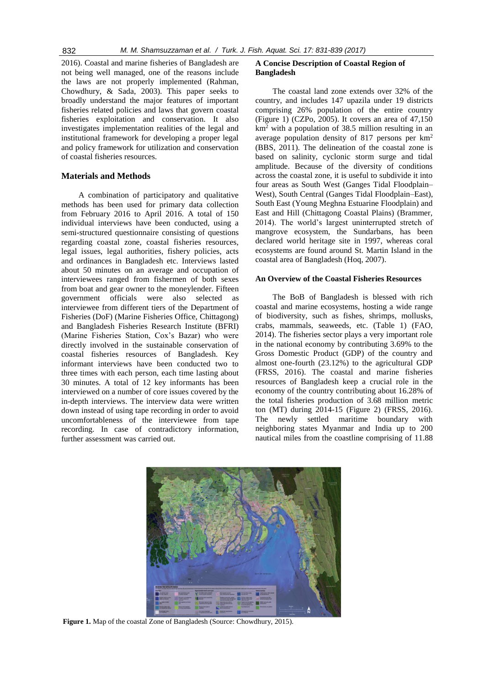2016). Coastal and marine fisheries of Bangladesh are not being well managed, one of the reasons include the laws are not properly implemented (Rahman, Chowdhury, & Sada, 2003). This paper seeks to broadly understand the major features of important fisheries related policies and laws that govern coastal fisheries exploitation and conservation. It also investigates implementation realities of the legal and institutional framework for developing a proper legal and policy framework for utilization and conservation of coastal fisheries resources.

# **Materials and Methods**

A combination of participatory and qualitative methods has been used for primary data collection from February 2016 to April 2016. A total of 150 individual interviews have been conducted, using a semi-structured questionnaire consisting of questions regarding coastal zone, coastal fisheries resources, legal issues, legal authorities, fishery policies, acts and ordinances in Bangladesh etc. Interviews lasted about 50 minutes on an average and occupation of interviewees ranged from fishermen of both sexes from boat and gear owner to the moneylender. Fifteen government officials were also selected as interviewee from different tiers of the Department of Fisheries (DoF) (Marine Fisheries Office, Chittagong) and Bangladesh Fisheries Research Institute (BFRI) (Marine Fisheries Station, Cox's Bazar) who were directly involved in the sustainable conservation of coastal fisheries resources of Bangladesh. Key informant interviews have been conducted two to three times with each person, each time lasting about 30 minutes. A total of 12 key informants has been interviewed on a number of core issues covered by the in-depth interviews. The interview data were written down instead of using tape recording in order to avoid uncomfortableness of the interviewee from tape recording. In case of contradictory information, further assessment was carried out.

# **A Concise Description of Coastal Region of Bangladesh**

The coastal land zone extends over 32% of the country, and includes 147 upazila under 19 districts comprising 26% population of the entire country (Figure 1) (CZPo, 2005). It covers an area of 47,150  $km<sup>2</sup>$  with a population of 38.5 million resulting in an average population density of 817 persons per km<sup>2</sup> (BBS, 2011). The delineation of the coastal zone is based on salinity, cyclonic storm surge and tidal amplitude. Because of the diversity of conditions across the coastal zone, it is useful to subdivide it into four areas as South West (Ganges Tidal Floodplain– West), South Central (Ganges Tidal Floodplain–East), South East (Young Meghna Estuarine Floodplain) and East and Hill (Chittagong Coastal Plains) (Brammer, 2014). The world's largest uninterrupted stretch of mangrove ecosystem, the Sundarbans, has been declared world heritage site in 1997, whereas coral ecosystems are found around St. Martin Island in the coastal area of Bangladesh (Hoq, 2007).

#### **An Overview of the Coastal Fisheries Resources**

The BoB of Bangladesh is blessed with rich coastal and marine ecosystems, hosting a wide range of biodiversity, such as fishes, shrimps, mollusks, crabs, mammals, seaweeds, etc. (Table 1) (FAO, 2014). The fisheries sector plays a very important role in the national economy by contributing 3.69% to the Gross Domestic Product (GDP) of the country and almost one-fourth (23.12%) to the agricultural GDP (FRSS, 2016). The coastal and marine fisheries resources of Bangladesh keep a crucial role in the economy of the country contributing about 16.28% of the total fisheries production of 3.68 million metric ton (MT) during 2014-15 (Figure 2) (FRSS, 2016). The newly settled maritime boundary with neighboring states Myanmar and India up to 200 nautical miles from the coastline comprising of 11.88



**Figure 1.** Map of the coastal Zone of Bangladesh (Source: Chowdhury, 2015).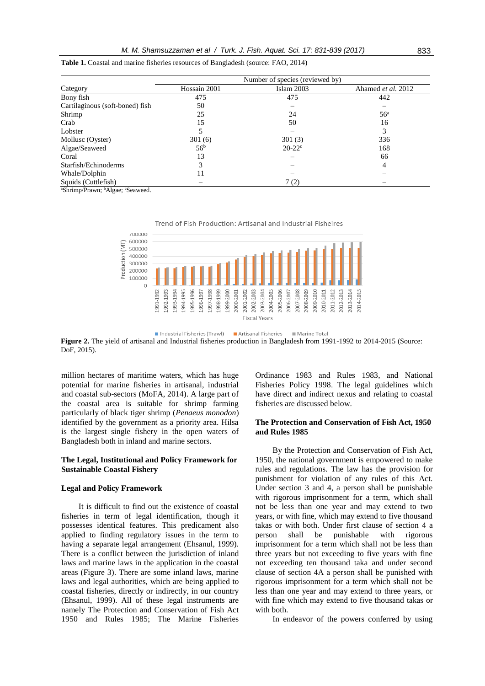|                                 |                 | Number of species (reviewed by) |                    |
|---------------------------------|-----------------|---------------------------------|--------------------|
| Category                        | Hossain 2001    | Islam 2003                      | Ahamed et al. 2012 |
| Bony fish                       | 475             | 475                             | 442                |
| Cartilaginous (soft-boned) fish | 50              |                                 |                    |
| Shrimp                          | 25              | 24                              | 56 <sup>a</sup>    |
| Crab                            | 15              | 50                              | 16                 |
| Lobster                         |                 |                                 |                    |
| Mollusc (Oyster)                | 301(6)          | 301(3)                          | 336                |
| Algae/Seaweed                   | 56 <sup>b</sup> | $20-22^{\circ}$                 | 168                |
| Coral                           | 13              |                                 | 66                 |
| Starfish/Echinoderms            | 3               |                                 | 4                  |
| Whale/Dolphin                   | 11              |                                 |                    |
| Squids (Cuttlefish)             |                 | 7(2)                            |                    |

|  |  | Table 1. Coastal and marine fisheries resources of Bangladesh (source: FAO, 2014) |
|--|--|-----------------------------------------------------------------------------------|
|  |  |                                                                                   |

<sup>a</sup>Shrimp/Prawn; <sup>b</sup>Algae; <sup>c</sup>Seaweed.



**Figure 2.** The yield of artisanal and Industrial fisheries production in Bangladesh from 1991-1992 to 2014-2015 (Source: DoF, 2015).

million hectares of maritime waters, which has huge potential for marine fisheries in artisanal, industrial and coastal sub-sectors (MoFA, 2014). A large part of the coastal area is suitable for shrimp farming particularly of black tiger shrimp (*Penaeus monodon*) identified by the government as a priority area. Hilsa is the largest single fishery in the open waters of Bangladesh both in inland and marine sectors.

# **The Legal, Institutional and Policy Framework for Sustainable Coastal Fishery**

#### **Legal and Policy Framework**

It is difficult to find out the existence of coastal fisheries in term of legal identification, though it possesses identical features. This predicament also applied to finding regulatory issues in the term to having a separate legal arrangement (Ehsanul, 1999). There is a conflict between the jurisdiction of inland laws and marine laws in the application in the coastal areas (Figure 3). There are some inland laws, marine laws and legal authorities, which are being applied to coastal fisheries, directly or indirectly, in our country (Ehsanul, 1999). All of these legal instruments are namely The Protection and Conservation of Fish Act 1950 and Rules 1985; The Marine Fisheries

Ordinance 1983 and Rules 1983, and National Fisheries Policy 1998. The legal guidelines which have direct and indirect nexus and relating to coastal fisheries are discussed below.

#### **The Protection and Conservation of Fish Act, 1950 and Rules 1985**

By the Protection and Conservation of Fish Act, 1950, the national government is empowered to make rules and regulations. The law has the provision for punishment for violation of any rules of this Act. Under section 3 and 4, a person shall be punishable with rigorous imprisonment for a term, which shall not be less than one year and may extend to two years, or with fine, which may extend to five thousand takas or with both. Under first clause of section 4 a person shall be punishable with rigorous imprisonment for a term which shall not be less than three years but not exceeding to five years with fine not exceeding ten thousand taka and under second clause of section 4A a person shall be punished with rigorous imprisonment for a term which shall not be less than one year and may extend to three years, or with fine which may extend to five thousand takas or with both.

In endeavor of the powers conferred by using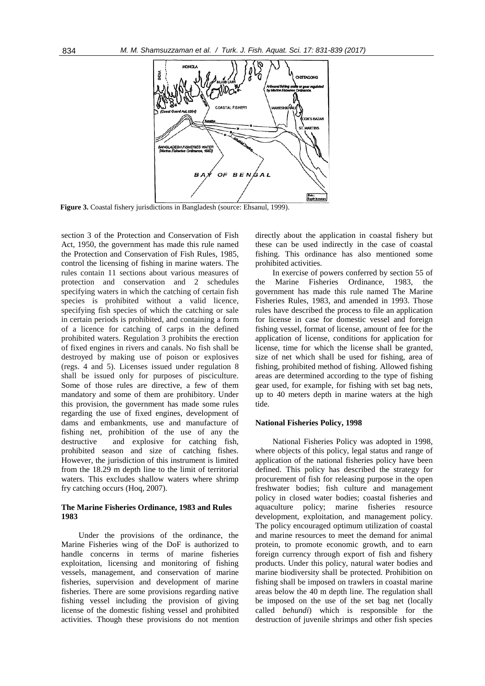

**Figure 3.** Coastal fishery jurisdictions in Bangladesh (source: Ehsanul, 1999).

section 3 of the Protection and Conservation of Fish Act, 1950, the government has made this rule named the Protection and Conservation of Fish Rules, 1985, control the licensing of fishing in marine waters. The rules contain 11 sections about various measures of protection and conservation and 2 schedules specifying waters in which the catching of certain fish species is prohibited without a valid licence, specifying fish species of which the catching or sale in certain periods is prohibited, and containing a form of a licence for catching of carps in the defined prohibited waters. Regulation 3 prohibits the erection of fixed engines in rivers and canals. No fish shall be destroyed by making use of poison or explosives (regs. 4 and 5). Licenses issued under regulation 8 shall be issued only for purposes of pisciculture. Some of those rules are directive, a few of them mandatory and some of them are prohibitory. Under this provision, the government has made some rules regarding the use of fixed engines, development of dams and embankments, use and manufacture of fishing net, prohibition of the use of any the destructive and explosive for catching fish, prohibited season and size of catching fishes. However, the jurisdiction of this instrument is limited from the 18.29 m depth line to the limit of territorial waters. This excludes shallow waters where shrimp fry catching occurs (Hoq, 2007).

## **The Marine Fisheries Ordinance, 1983 and Rules 1983**

Under the provisions of the ordinance, the Marine Fisheries wing of the DoF is authorized to handle concerns in terms of marine fisheries exploitation, licensing and monitoring of fishing vessels, management, and conservation of marine fisheries, supervision and development of marine fisheries. There are some provisions regarding native fishing vessel including the provision of giving license of the domestic fishing vessel and prohibited activities. Though these provisions do not mention directly about the application in coastal fishery but these can be used indirectly in the case of coastal fishing. This ordinance has also mentioned some prohibited activities.

In exercise of powers conferred by section 55 of the Marine Fisheries Ordinance, 1983, the government has made this rule named The Marine Fisheries Rules, 1983, and amended in 1993. Those rules have described the process to file an application for license in case for domestic vessel and foreign fishing vessel, format of license, amount of fee for the application of license, conditions for application for license, time for which the license shall be granted, size of net which shall be used for fishing, area of fishing, prohibited method of fishing. Allowed fishing areas are determined according to the type of fishing gear used, for example, for fishing with set bag nets, up to 40 meters depth in marine waters at the high tide.

#### **National Fisheries Policy, 1998**

National Fisheries Policy was adopted in 1998, where objects of this policy, legal status and range of application of the national fisheries policy have been defined. This policy has described the strategy for procurement of fish for releasing purpose in the open freshwater bodies; fish culture and management policy in closed water bodies; coastal fisheries and aquaculture policy; marine fisheries resource development, exploitation, and management policy. The policy encouraged optimum utilization of coastal and marine resources to meet the demand for animal protein, to promote economic growth, and to earn foreign currency through export of fish and fishery products. Under this policy, natural water bodies and marine biodiversity shall be protected. Prohibition on fishing shall be imposed on trawlers in coastal marine areas below the 40 m depth line. The regulation shall be imposed on the use of the set bag net (locally called *behundi*) which is responsible for the destruction of juvenile shrimps and other fish species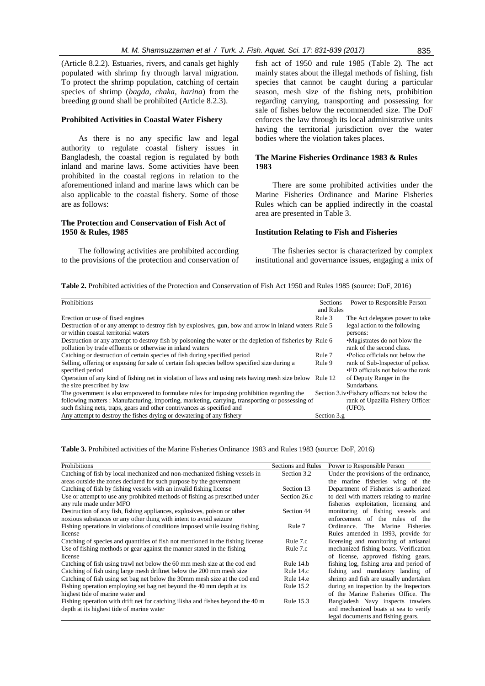(Article 8.2.2). Estuaries, rivers, and canals get highly populated with shrimp fry through larval migration. To protect the shrimp population, catching of certain species of shrimp (*bagda, chaka, harina*) from the breeding ground shall be prohibited (Article 8.2.3).

#### **Prohibited Activities in Coastal Water Fishery**

As there is no any specific law and legal authority to regulate coastal fishery issues in Bangladesh, the coastal region is regulated by both inland and marine laws. Some activities have been prohibited in the coastal regions in relation to the aforementioned inland and marine laws which can be also applicable to the coastal fishery. Some of those are as follows:

# **The Protection and Conservation of Fish Act of 1950 & Rules, 1985**

The following activities are prohibited according to the provisions of the protection and conservation of

fish act of 1950 and rule 1985 (Table 2). The act mainly states about the illegal methods of fishing, fish species that cannot be caught during a particular season, mesh size of the fishing nets, prohibition regarding carrying, transporting and possessing for sale of fishes below the recommended size. The DoF enforces the law through its local administrative units having the territorial jurisdiction over the water bodies where the violation takes places.

## **The Marine Fisheries Ordinance 1983 & Rules 1983**

There are some prohibited activities under the Marine Fisheries Ordinance and Marine Fisheries Rules which can be applied indirectly in the coastal area are presented in Table 3.

#### **Institution Relating to Fish and Fisheries**

The fisheries sector is characterized by complex institutional and governance issues, engaging a mix of

**Table 2.** Prohibited activities of the Protection and Conservation of Fish Act 1950 and Rules 1985 (source: DoF, 2016)

| Prohibitions                                                                                              | Sections    | Power to Responsible Person                 |
|-----------------------------------------------------------------------------------------------------------|-------------|---------------------------------------------|
|                                                                                                           | and Rules   |                                             |
| Erection or use of fixed engines                                                                          | Rule 3      | The Act delegates power to take             |
| Destruction of or any attempt to destroy fish by explosives, gun, bow and arrow in inland waters Rule 5   |             | legal action to the following               |
| or within coastal territorial waters                                                                      |             | persons:                                    |
| Destruction or any attempt to destroy fish by poisoning the water or the depletion of fisheries by Rule 6 |             | •Magistrates do not blow the                |
| pollution by trade effluents or otherwise in inland waters                                                |             | rank of the second class.                   |
| Catching or destruction of certain species of fish during specified period                                | Rule 7      | •Police officials not below the             |
| Selling, offering or exposing for sale of certain fish species bellow specified size during a             | Rule 9      | rank of Sub-Inspector of police.            |
| specified period                                                                                          |             | •FD officials not below the rank            |
| Operation of any kind of fishing net in violation of laws and using nets having mesh size below Rule 12   |             | of Deputy Ranger in the                     |
| the size prescribed by law                                                                                |             | Sundarbans.                                 |
| The government is also empowered to formulate rules for imposing prohibition regarding the                |             | Section 3.iv•Fishery officers not below the |
| following matters : Manufacturing, importing, marketing, carrying, transporting or possessing of          |             | rank of Upazilla Fishery Officer            |
| such fishing nets, traps, gears and other contrivances as specified and                                   |             | (UFO).                                      |
| Any attempt to destroy the fishes drying or dewatering of any fishery                                     | Section 3.g |                                             |

**Table 3.** Prohibited activities of the Marine Fisheries Ordinance 1983 and Rules 1983 (source: DoF, 2016)

| Prohibitions                                                                    | Sections and Rules | Power to Responsible Person             |
|---------------------------------------------------------------------------------|--------------------|-----------------------------------------|
| Catching of fish by local mechanized and non-mechanized fishing vessels in      | Section 3.2        | Under the provisions of the ordinance,  |
| areas outside the zones declared for such purpose by the government             |                    | the marine fisheries wing of the        |
| Catching of fish by fishing vessels with an invalid fishing license             | Section 13         | Department of Fisheries is authorized   |
| Use or attempt to use any prohibited methods of fishing as prescribed under     | Section 26.c       | to deal with matters relating to marine |
| any rule made under MFO                                                         |                    | fisheries exploitation, licensing and   |
| Destruction of any fish, fishing appliances, explosives, poison or other        | Section 44         | monitoring of fishing vessels and       |
| noxious substances or any other thing with intent to avoid seizure              |                    | enforcement of the rules of the         |
| Fishing operations in violations of conditions imposed while issuing fishing    | Rule 7             | Ordinance. The Marine Fisheries         |
| license                                                                         |                    | Rules amended in 1993, provide for      |
| Catching of species and quantities of fish not mentioned in the fishing license | Rule 7.c           | licensing and monitoring of artisanal   |
| Use of fishing methods or gear against the manner stated in the fishing         | Rule 7.c           | mechanized fishing boats. Verification  |
| license                                                                         |                    | of license, approved fishing gears,     |
| Catching of fish using trawl net below the 60 mm mesh size at the cod end       | Rule 14.b          | fishing log, fishing area and period of |
| Catching of fish using large mesh driftnet below the 200 mm mesh size           | Rule 14.c          | fishing and mandatory landing of        |
| Catching of fish using set bag net below the 30mm mesh size at the cod end      | Rule 14.e          | shrimp and fish are usually undertaken  |
| Fishing operation employing set bag net beyond the 40 mm depth at its           | Rule 15.2          | during an inspection by the Inspectors  |
| highest tide of marine water and                                                |                    | of the Marine Fisheries Office. The     |
| Fishing operation with drift net for catching ilisha and fishes beyond the 40 m | Rule 15.3          | Bangladesh Navy inspects trawlers       |
| depth at its highest tide of marine water                                       |                    | and mechanized boats at sea to verify   |
|                                                                                 |                    | legal documents and fishing gears.      |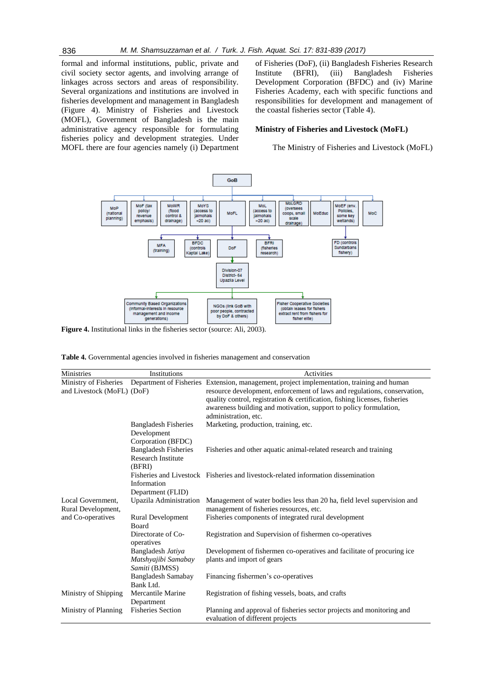formal and informal institutions, public, private and civil society sector agents, and involving arrange of linkages across sectors and areas of responsibility. Several organizations and institutions are involved in fisheries development and management in Bangladesh (Figure 4). Ministry of Fisheries and Livestock (MOFL), Government of Bangladesh is the main administrative agency responsible for formulating fisheries policy and development strategies. Under MOFL there are four agencies namely (i) Department

of Fisheries (DoF), (ii) Bangladesh Fisheries Research Institute (BFRI), (iii) Bangladesh Fisheries Development Corporation (BFDC) and (iv) Marine Fisheries Academy, each with specific functions and responsibilities for development and management of the coastal fisheries sector (Table 4).

## **Ministry of Fisheries and Livestock (MoFL)**

The Ministry of Fisheries and Livestock (MoFL)



**Figure 4.** Institutional links in the fisheries sector (source: Ali, 2003).

| <b>Table 4.</b> Governmental agencies involved in fisheries management and conservation |  |  |  |  |
|-----------------------------------------------------------------------------------------|--|--|--|--|
|                                                                                         |  |  |  |  |

| Ministries                              | Institutions                        | Activities                                                                                                                                                                                                                                          |
|-----------------------------------------|-------------------------------------|-----------------------------------------------------------------------------------------------------------------------------------------------------------------------------------------------------------------------------------------------------|
| Ministry of Fisheries                   |                                     | Department of Fisheries Extension, management, project implementation, training and human                                                                                                                                                           |
| and Livestock (MoFL) (DoF)              |                                     | resource development, enforcement of laws and regulations, conservation,<br>quality control, registration & certification, fishing licenses, fisheries<br>awareness building and motivation, support to policy formulation,<br>administration, etc. |
|                                         | <b>Bangladesh Fisheries</b>         | Marketing, production, training, etc.                                                                                                                                                                                                               |
|                                         | Development                         |                                                                                                                                                                                                                                                     |
|                                         | Corporation (BFDC)                  |                                                                                                                                                                                                                                                     |
|                                         | <b>Bangladesh Fisheries</b>         | Fisheries and other aquatic animal-related research and training                                                                                                                                                                                    |
|                                         | <b>Research Institute</b><br>(BFRI) |                                                                                                                                                                                                                                                     |
|                                         |                                     | Fisheries and Livestock Fisheries and livestock-related information dissemination                                                                                                                                                                   |
|                                         | Information                         |                                                                                                                                                                                                                                                     |
|                                         | Department (FLID)                   |                                                                                                                                                                                                                                                     |
| Local Government,<br>Rural Development, | Upazila Administration              | Management of water bodies less than 20 ha, field level supervision and<br>management of fisheries resources, etc.                                                                                                                                  |
| and Co-operatives                       | Rural Development<br><b>Board</b>   | Fisheries components of integrated rural development                                                                                                                                                                                                |
|                                         | Directorate of Co-<br>operatives    | Registration and Supervision of fishermen co-operatives                                                                                                                                                                                             |
|                                         | Bangladesh Jatiya                   | Development of fishermen co-operatives and facilitate of procuring ice                                                                                                                                                                              |
|                                         | Matshyajibi Samabay                 | plants and import of gears                                                                                                                                                                                                                          |
|                                         | Samiti (BJMSS)                      |                                                                                                                                                                                                                                                     |
|                                         | <b>Bangladesh Samabay</b>           | Financing fishermen's co-operatives                                                                                                                                                                                                                 |
|                                         | Bank Ltd.                           |                                                                                                                                                                                                                                                     |
| Ministry of Shipping                    | Mercantile Marine                   | Registration of fishing vessels, boats, and crafts                                                                                                                                                                                                  |
|                                         | Department                          |                                                                                                                                                                                                                                                     |
| Ministry of Planning                    | <b>Fisheries Section</b>            | Planning and approval of fisheries sector projects and monitoring and<br>evaluation of different projects                                                                                                                                           |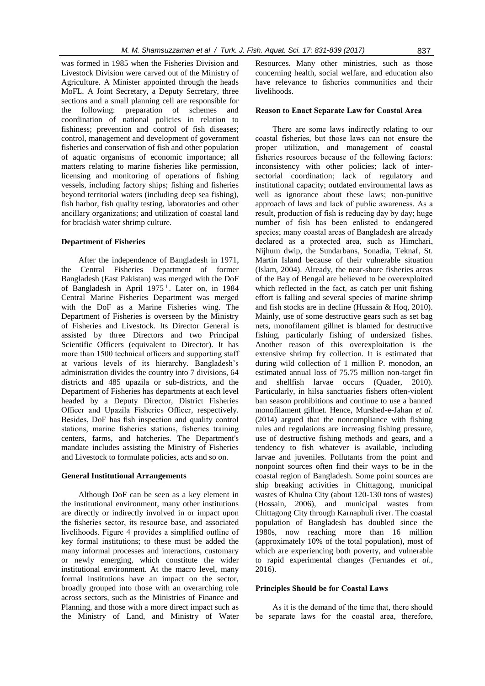was formed in 1985 when the Fisheries Division and Livestock Division were carved out of the Ministry of Agriculture. A Minister appointed through the heads MoFL. A Joint Secretary, a Deputy Secretary, three sections and a small planning cell are responsible for the following: preparation of schemes and coordination of national policies in relation to fishiness; prevention and control of fish diseases; control, management and development of government fisheries and conservation of fish and other population of aquatic organisms of economic importance; all matters relating to marine fisheries like permission, licensing and monitoring of operations of fishing vessels, including factory ships; fishing and fisheries beyond territorial waters (including deep sea fishing), fish harbor, fish quality testing, laboratories and other ancillary organizations; and utilization of coastal land for brackish water shrimp culture.

#### **Department of Fisheries**

After the independence of Bangladesh in 1971, the Central Fisheries Department of former Bangladesh (East Pakistan) was merged with the DoF of Bangladesh in April 1975<sup>1</sup>. Later on, in 1984 Central Marine Fisheries Department was merged with the DoF as a Marine Fisheries wing. The Department of Fisheries is overseen by the Ministry of Fisheries and Livestock. Its Director General is assisted by three Directors and two Principal Scientific Officers (equivalent to Director). It has more than 1500 technical officers and supporting staff at various levels of its hierarchy. Bangladesh's administration divides the country into 7 divisions, 64 districts and 485 upazila or sub-districts, and the Department of Fisheries has departments at each level headed by a Deputy Director, District Fisheries Officer and Upazila Fisheries Officer, respectively. Besides, DoF has fish inspection and quality control stations, marine fisheries stations, fisheries training centers, farms, and hatcheries. The Department's mandate includes assisting the Ministry of Fisheries and Livestock to formulate policies, acts and so on.

## **General Institutional Arrangements**

Although DoF can be seen as a key element in the institutional environment, many other institutions are directly or indirectly involved in or impact upon the fisheries sector, its resource base, and associated livelihoods. Figure 4 provides a simplified outline of key formal institutions; to these must be added the many informal processes and interactions, customary or newly emerging, which constitute the wider institutional environment. At the macro level, many formal institutions have an impact on the sector, broadly grouped into those with an overarching role across sectors, such as the Ministries of Finance and Planning, and those with a more direct impact such as the Ministry of Land, and Ministry of Water

Resources. Many other ministries, such as those concerning health, social welfare, and education also have relevance to fisheries communities and their livelihoods.

#### **Reason to Enact Separate Law for Coastal Area**

There are some laws indirectly relating to our coastal fisheries, but those laws can not ensure the proper utilization, and management of coastal fisheries resources because of the following factors: inconsistency with other policies; lack of intersectorial coordination; lack of regulatory and institutional capacity; outdated environmental laws as well as ignorance about these laws; non-punitive approach of laws and lack of public awareness. As a result, production of fish is reducing day by day; huge number of fish has been enlisted to endangered species; many coastal areas of Bangladesh are already declared as a protected area, such as Himchari, Nijhum dwip, the Sundarbans, Sonadia, Teknaf, St. Martin Island because of their vulnerable situation (Islam, 2004). Already, the near-shore fisheries areas of the Bay of Bengal are believed to be overexploited which reflected in the fact, as catch per unit fishing effort is falling and several species of marine shrimp and fish stocks are in decline (Hussain & Hoq, 2010). Mainly, use of some destructive gears such as set bag nets, monofilament gillnet is blamed for destructive fishing, particularly fishing of undersized fishes. Another reason of this overexploitation is the extensive shrimp fry collection. It is estimated that during wild collection of 1 million P. monodon, an estimated annual loss of 75.75 million non-target fin and shellfish larvae occurs (Quader, 2010). Particularly, in hilsa sanctuaries fishers often-violent ban season prohibitions and continue to use a banned monofilament gillnet. Hence, Murshed-e-Jahan *et al*. (2014) argued that the noncompliance with fishing rules and regulations are increasing fishing pressure, use of destructive fishing methods and gears, and a tendency to fish whatever is available, including larvae and juveniles. Pollutants from the point and nonpoint sources often find their ways to be in the coastal region of Bangladesh. Some point sources are ship breaking activities in Chittagong, municipal wastes of Khulna City (about 120-130 tons of wastes) (Hossain, 2006), and municipal wastes from Chittagong City through Karnaphuli river. The coastal population of Bangladesh has doubled since the 1980s, now reaching more than 16 million (approximately 10% of the total population), most of which are experiencing both poverty, and vulnerable to rapid experimental changes (Fernandes *et al*., 2016).

## **Principles Should be for Coastal Laws**

As it is the demand of the time that, there should be separate laws for the coastal area, therefore,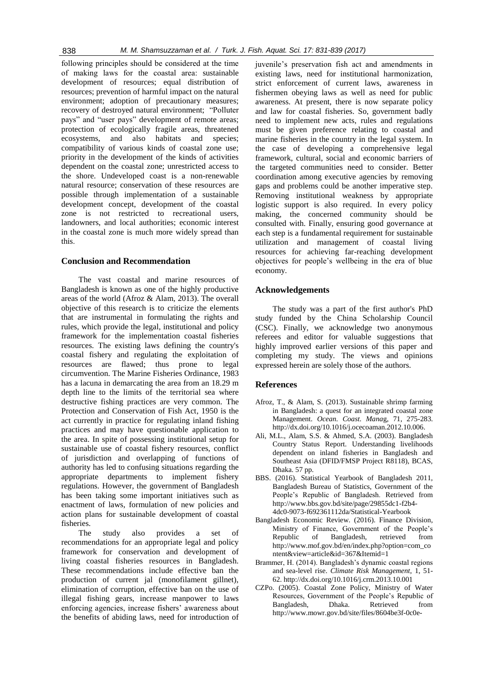838 *M. M. Shamsuzzaman et al. / Turk. J. Fish. Aquat. Sci. 17: 831-839 (2017)*

following principles should be considered at the time of making laws for the coastal area: sustainable development of resources; equal distribution of resources; prevention of harmful impact on the natural environment; adoption of precautionary measures; recovery of destroyed natural environment; "Polluter pays" and "user pays" development of remote areas; protection of ecologically fragile areas, threatened ecosystems, and also habitats and species; compatibility of various kinds of coastal zone use; priority in the development of the kinds of activities dependent on the coastal zone; unrestricted access to the shore. Undeveloped coast is a non-renewable natural resource; conservation of these resources are possible through implementation of a sustainable development concept, development of the coastal zone is not restricted to recreational users, landowners, and local authorities; economic interest in the coastal zone is much more widely spread than this.

# **Conclusion and Recommendation**

The vast coastal and marine resources of Bangladesh is known as one of the highly productive areas of the world (Afroz & Alam, 2013). The overall objective of this research is to criticize the elements that are instrumental in formulating the rights and rules, which provide the legal, institutional and policy framework for the implementation coastal fisheries resources. The existing laws defining the country's coastal fishery and regulating the exploitation of resources are flawed; thus prone to legal circumvention. The Marine Fisheries Ordinance, 1983 has a lacuna in demarcating the area from an 18.29 m depth line to the limits of the territorial sea where destructive fishing practices are very common. The Protection and Conservation of Fish Act, 1950 is the act currently in practice for regulating inland fishing practices and may have questionable application to the area. In spite of possessing institutional setup for sustainable use of coastal fishery resources, conflict of jurisdiction and overlapping of functions of authority has led to confusing situations regarding the appropriate departments to implement fishery regulations. However, the government of Bangladesh has been taking some important initiatives such as enactment of laws, formulation of new policies and action plans for sustainable development of coastal fisheries.

The study also provides a set of recommendations for an appropriate legal and policy framework for conservation and development of living coastal fisheries resources in Bangladesh. These recommendations include effective ban the production of current jal (monofilament gillnet), elimination of corruption, effective ban on the use of illegal fishing gears, increase manpower to laws enforcing agencies, increase fishers' awareness about the benefits of abiding laws, need for introduction of juvenile's preservation fish act and amendments in existing laws, need for institutional harmonization, strict enforcement of current laws, awareness in fishermen obeying laws as well as need for public awareness. At present, there is now separate policy and law for coastal fisheries. So, government badly need to implement new acts, rules and regulations must be given preference relating to coastal and marine fisheries in the country in the legal system. In the case of developing a comprehensive legal framework, cultural, social and economic barriers of the targeted communities need to consider. Better coordination among executive agencies by removing gaps and problems could be another imperative step. Removing institutional weakness by appropriate logistic support is also required. In every policy making, the concerned community should be consulted with. Finally, ensuring good governance at each step is a fundamental requirement for sustainable utilization and management of coastal living resources for achieving far-reaching development objectives for people's wellbeing in the era of blue economy.

# **Acknowledgements**

The study was a part of the first author's PhD study funded by the China Scholarship Council (CSC). Finally, we acknowledge two anonymous referees and editor for valuable suggestions that highly improved earlier versions of this paper and completing my study. The views and opinions expressed herein are solely those of the authors.

# **References**

- Afroz, T., & Alam, S. (2013). Sustainable shrimp farming in Bangladesh: a quest for an integrated coastal zone Management. *Ocean. Coast. Mana*g, 71, 275-283. http://dx.doi.org/10.1016/j.ocecoaman.2012.10.006.
- Ali, M.L., Alam, S.S. & Ahmed, S.A. (2003). Bangladesh Country Status Report. Understanding livelihoods dependent on inland fisheries in Bangladesh and Southeast Asia (DFID/FMSP Project R8118), BCAS, Dhaka. 57 pp.
- BBS. (2016). Statistical Yearbook of Bangladesh 2011, Bangladesh Bureau of Statistics, Government of the People's Republic of Bangladesh. Retrieved from http://www.bbs.gov.bd/site/page/29855dc1-f2b4- 4dc0-9073-f692361112da/Statistical-Yearbook
- Bangladesh Economic Review. (2016). Finance Division, Ministry of Finance, Government of the People's Republic of Bangladesh, retrieved from http://www.mof.gov.bd/en/index.php?option=com\_co ntent&view=article&id=367&Itemid=1
- Brammer, H. (2014). Bangladesh's dynamic coastal regions and sea-level rise. *Climate Risk Management,* 1, 51- 62. http://dx.doi.org/10.1016/j.crm.2013.10.001
- CZPo. (2005). Coastal Zone Policy, Ministry of Water Resources, Government of the People's Republic of Bangladesh, Dhaka. Retrieved from http://www.mowr.gov.bd/site/files/8604be3f-0c0e-